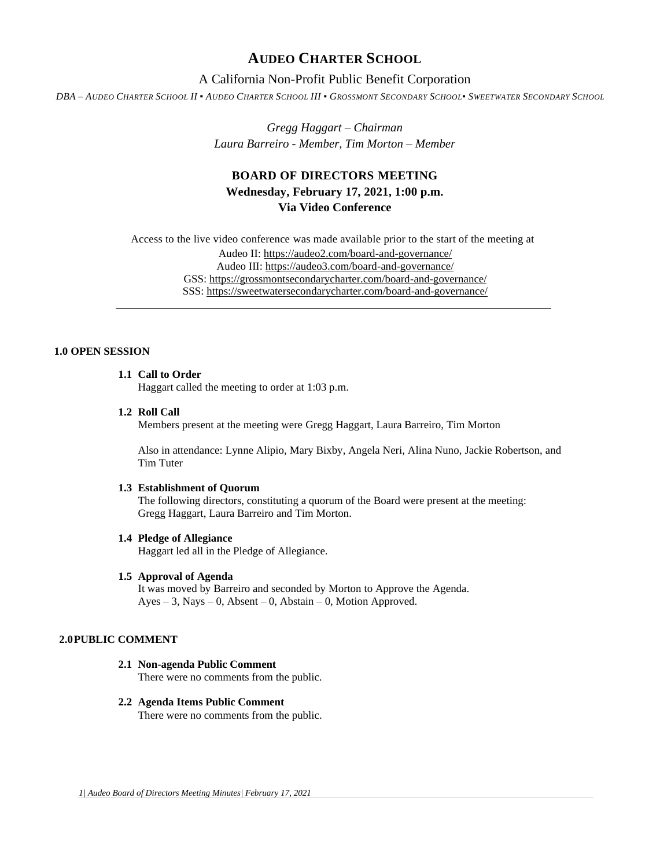# **AUDEO CHARTER SCHOOL**

# A California Non-Profit Public Benefit Corporation

DBA - AUDEO CHARTER SCHOOL II . AUDEO CHARTER SCHOOL III . GROSSMONT SECONDARY SCHOOL. SWEETWATER SECONDARY SCHOOL

*Gregg Haggart – Chairman Laura Barreiro - Member, Tim Morton – Member*

# **BOARD OF DIRECTORS MEETING Wednesday, February 17, 2021, 1:00 p.m. Via Video Conference**

Access to the live video conference was made available prior to the start of the meeting at Audeo II[: https://audeo2.com/board-and-governance/](https://audeo2.com/board-and-governance/) Audeo III:<https://audeo3.com/board-and-governance/> GSS:<https://grossmontsecondarycharter.com/board-and-governance/> SSS:<https://sweetwatersecondarycharter.com/board-and-governance/>

# **1.0 OPEN SESSION**

# **1.1 Call to Order**

Haggart called the meeting to order at 1:03 p.m.

### **1.2 Roll Call**

Members present at the meeting were Gregg Haggart, Laura Barreiro, Tim Morton

Also in attendance: Lynne Alipio, Mary Bixby, Angela Neri, Alina Nuno, Jackie Robertson, and Tim Tuter

## **1.3 Establishment of Quorum**

The following directors, constituting a quorum of the Board were present at the meeting: Gregg Haggart, Laura Barreiro and Tim Morton.

#### **1.4 Pledge of Allegiance**

Haggart led all in the Pledge of Allegiance.

# **1.5 Approval of Agenda**

It was moved by Barreiro and seconded by Morton to Approve the Agenda. Ayes – 3, Nays – 0, Absent – 0, Abstain – 0, Motion Approved.

## **2.0PUBLIC COMMENT**

- **2.1 Non-agenda Public Comment** There were no comments from the public.
- **2.2 Agenda Items Public Comment** There were no comments from the public.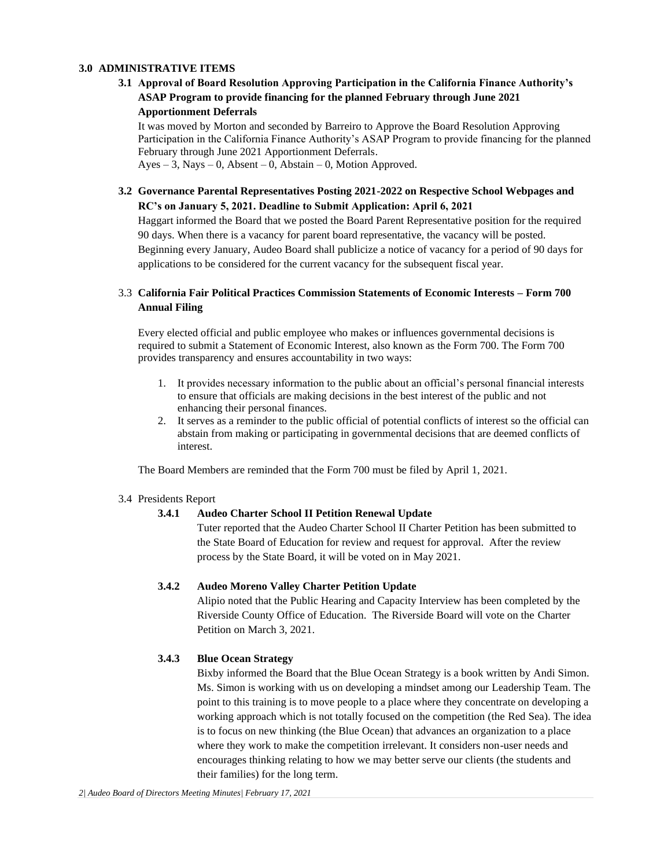## **3.0 ADMINISTRATIVE ITEMS**

# **3.1 Approval of Board Resolution Approving Participation in the California Finance Authority's ASAP Program to provide financing for the planned February through June 2021**

## **Apportionment Deferrals**

It was moved by Morton and seconded by Barreiro to Approve the Board Resolution Approving Participation in the California Finance Authority's ASAP Program to provide financing for the planned February through June 2021 Apportionment Deferrals.  $Ayes - 3$ , Nays – 0, Absent – 0, Abstain – 0, Motion Approved.

# **3.2 Governance Parental Representatives Posting 2021-2022 on Respective School Webpages and RC's on January 5, 2021. Deadline to Submit Application: April 6, 2021**

Haggart informed the Board that we posted the Board Parent Representative position for the required 90 days. When there is a vacancy for parent board representative, the vacancy will be posted. Beginning every January, Audeo Board shall publicize a notice of vacancy for a period of 90 days for applications to be considered for the current vacancy for the subsequent fiscal year.

# 3.3 **California Fair Political Practices Commission Statements of Economic Interests – Form 700 Annual Filing**

Every elected official and public employee who makes or influences governmental decisions is required to submit a Statement of Economic Interest, also known as the Form 700. The Form 700 provides transparency and ensures accountability in two ways:

- 1. It provides necessary information to the public about an official's personal financial interests to ensure that officials are making decisions in the best interest of the public and not enhancing their personal finances.
- 2. It serves as a reminder to the public official of potential conflicts of interest so the official can abstain from making or participating in governmental decisions that are deemed conflicts of interest.

The Board Members are reminded that the Form 700 must be filed by April 1, 2021.

## 3.4 Presidents Report

# **3.4.1 Audeo Charter School II Petition Renewal Update**

Tuter reported that the Audeo Charter School II Charter Petition has been submitted to the State Board of Education for review and request for approval. After the review process by the State Board, it will be voted on in May 2021.

# **3.4.2 Audeo Moreno Valley Charter Petition Update**

Alipio noted that the Public Hearing and Capacity Interview has been completed by the Riverside County Office of Education. The Riverside Board will vote on the Charter Petition on March 3, 2021.

# **3.4.3 Blue Ocean Strategy**

Bixby informed the Board that the Blue Ocean Strategy is a book written by Andi Simon. Ms. Simon is working with us on developing a mindset among our Leadership Team. The point to this training is to move people to a place where they concentrate on developing a working approach which is not totally focused on the competition (the Red Sea). The idea is to focus on new thinking (the Blue Ocean) that advances an organization to a place where they work to make the competition irrelevant. It considers non-user needs and encourages thinking relating to how we may better serve our clients (the students and their families) for the long term.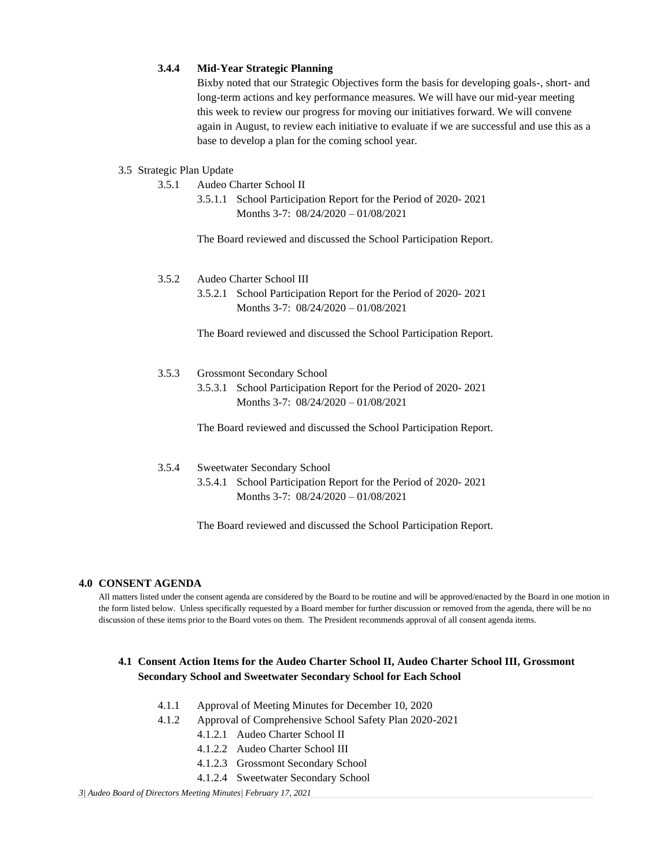## **3.4.4 Mid-Year Strategic Planning**

Bixby noted that our Strategic Objectives form the basis for developing goals-, short- and long-term actions and key performance measures. We will have our mid-year meeting this week to review our progress for moving our initiatives forward. We will convene again in August, to review each initiative to evaluate if we are successful and use this as a base to develop a plan for the coming school year.

## 3.5 Strategic Plan Update

- 3.5.1 Audeo Charter School II
	- 3.5.1.1 School Participation Report for the Period of 2020- 2021 Months 3-7: 08/24/2020 – 01/08/2021

The Board reviewed and discussed the School Participation Report.

## 3.5.2 Audeo Charter School III

3.5.2.1 School Participation Report for the Period of 2020- 2021 Months 3-7: 08/24/2020 – 01/08/2021

The Board reviewed and discussed the School Participation Report.

## 3.5.3 Grossmont Secondary School

3.5.3.1 School Participation Report for the Period of 2020- 2021 Months 3-7: 08/24/2020 – 01/08/2021

The Board reviewed and discussed the School Participation Report.

# 3.5.4 Sweetwater Secondary School

3.5.4.1 School Participation Report for the Period of 2020- 2021 Months 3-7: 08/24/2020 – 01/08/2021

The Board reviewed and discussed the School Participation Report.

### **4.0 CONSENT AGENDA**

All matters listed under the consent agenda are considered by the Board to be routine and will be approved/enacted by the Board in one motion in the form listed below. Unless specifically requested by a Board member for further discussion or removed from the agenda, there will be no discussion of these items prior to the Board votes on them. The President recommends approval of all consent agenda items.

# **4.1 Consent Action Items for the Audeo Charter School II, Audeo Charter School III, Grossmont Secondary School and Sweetwater Secondary School for Each School**

- 4.1.1 Approval of Meeting Minutes for December 10, 2020
- 4.1.2 Approval of Comprehensive School Safety Plan 2020-2021
	- 4.1.2.1 Audeo Charter School II
	- 4.1.2.2 Audeo Charter School III
	- 4.1.2.3 Grossmont Secondary School
	- 4.1.2.4 Sweetwater Secondary School

*3| Audeo Board of Directors Meeting Minutes| February 17, 2021*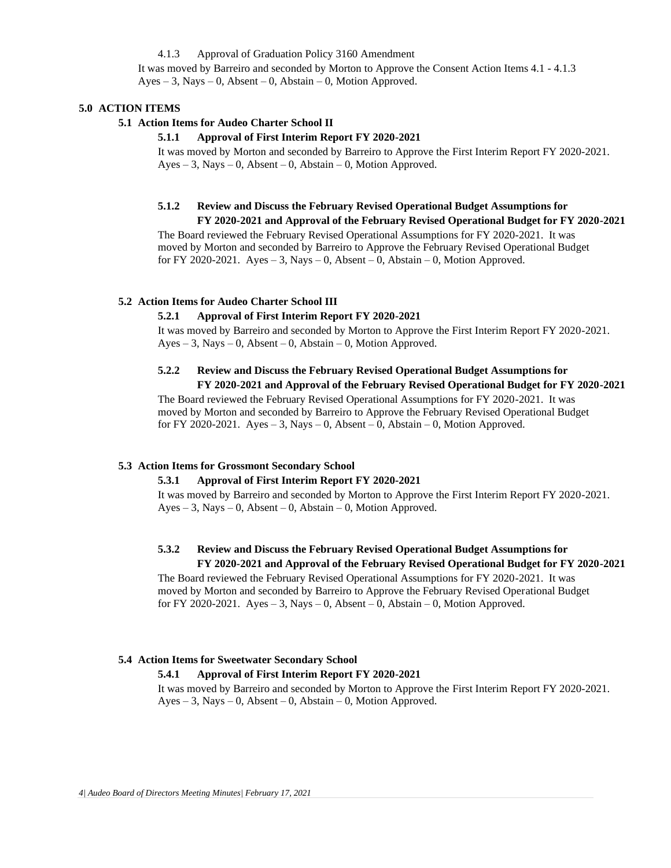## 4.1.3 Approval of Graduation Policy 3160 Amendment

It was moved by Barreiro and seconded by Morton to Approve the Consent Action Items 4.1 - 4.1.3  $Ayes - 3$ , Nays – 0, Absent – 0, Abstain – 0, Motion Approved.

# **5.0 ACTION ITEMS**

### **5.1 Action Items for Audeo Charter School II**

### **5.1.1 Approval of First Interim Report FY 2020-2021**

It was moved by Morton and seconded by Barreiro to Approve the First Interim Report FY 2020-2021.  $Ayes - 3$ , Nays – 0, Absent – 0, Abstain – 0, Motion Approved.

# **5.1.2 Review and Discuss the February Revised Operational Budget Assumptions for**

**FY 2020-2021 and Approval of the February Revised Operational Budget for FY 2020-2021**  The Board reviewed the February Revised Operational Assumptions for FY 2020-2021. It was moved by Morton and seconded by Barreiro to Approve the February Revised Operational Budget for FY 2020-2021. Ayes  $-3$ , Nays  $-0$ , Absent  $-0$ , Abstain  $-0$ , Motion Approved.

## **5.2 Action Items for Audeo Charter School III**

#### **5.2.1 Approval of First Interim Report FY 2020-2021**

It was moved by Barreiro and seconded by Morton to Approve the First Interim Report FY 2020-2021.  $Ayes - 3$ , Nays  $-0$ , Absent  $-0$ , Abstain  $-0$ , Motion Approved.

# **5.2.2 Review and Discuss the February Revised Operational Budget Assumptions for FY 2020-2021 and Approval of the February Revised Operational Budget for FY 2020-2021**

The Board reviewed the February Revised Operational Assumptions for FY 2020-2021. It was moved by Morton and seconded by Barreiro to Approve the February Revised Operational Budget for FY 2020-2021. Ayes  $-3$ , Nays  $-0$ , Absent  $-0$ , Abstain  $-0$ , Motion Approved.

#### **5.3 Action Items for Grossmont Secondary School**

### **5.3.1 Approval of First Interim Report FY 2020-2021**

It was moved by Barreiro and seconded by Morton to Approve the First Interim Report FY 2020-2021. Ayes – 3, Nays – 0, Absent – 0, Abstain – 0, Motion Approved.

## **5.3.2 Review and Discuss the February Revised Operational Budget Assumptions for FY 2020-2021 and Approval of the February Revised Operational Budget for FY 2020-2021**

The Board reviewed the February Revised Operational Assumptions for FY 2020-2021. It was moved by Morton and seconded by Barreiro to Approve the February Revised Operational Budget for FY 2020-2021. Ayes  $-3$ , Nays  $-0$ , Absent  $-0$ , Abstain  $-0$ , Motion Approved.

## **5.4 Action Items for Sweetwater Secondary School**

#### **5.4.1 Approval of First Interim Report FY 2020-2021**

It was moved by Barreiro and seconded by Morton to Approve the First Interim Report FY 2020-2021.  $Ayes - 3$ , Nays – 0, Absent – 0, Abstain – 0, Motion Approved.